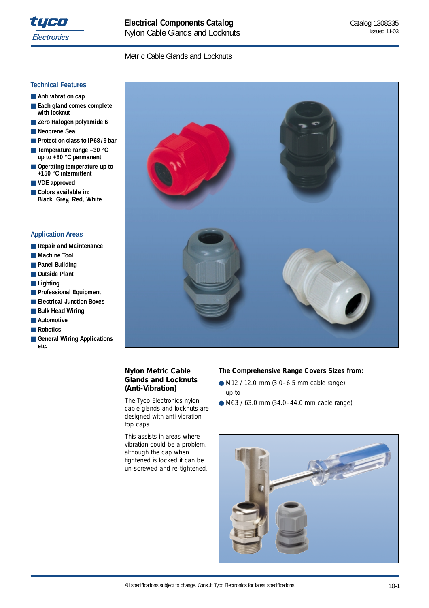

### Metric Cable Glands and Locknuts

### **Technical Features**

- **Anti vibration cap**
- **Each gland comes complete with locknut**
- Zero Halogen polyamide 6
- **Neoprene Seal**
- **Protection class to IP68/5 bar**
- **Temperature range –30 °C up to +80 °C permanent**
- **Operating temperature up to +150 °C intermittent**
- **VDE approved**
- Colors available in: **Black, Grey, Red, White**

#### **Application Areas**

- **Repair and Maintenance**
- Machine Tool
- **Panel Building**
- **Outside Plant**
- Lighting
- **Professional Equipment**
- **Electrical Junction Boxes**
- **Bulk Head Wiring**
- **Automotive**
- **Robotics**
- General Wiring Applications **etc.**



#### **Nylon Metric Cable Glands and Locknuts (Anti-Vibration)**

The Tyco Electronics nylon cable glands and locknuts are designed with anti-vibration top caps.

This assists in areas where vibration could be a problem, although the cap when tightened is locked it can be un-screwed and re-tightened.

#### **The Comprehensive Range Covers Sizes from:**

- M12 / 12.0 mm (3.0–6.5 mm cable range) up to
- M63 / 63.0 mm (34.0-44.0 mm cable range)



All specifications subject to change. Consult Tyco Electronics for latest specifications. 10-1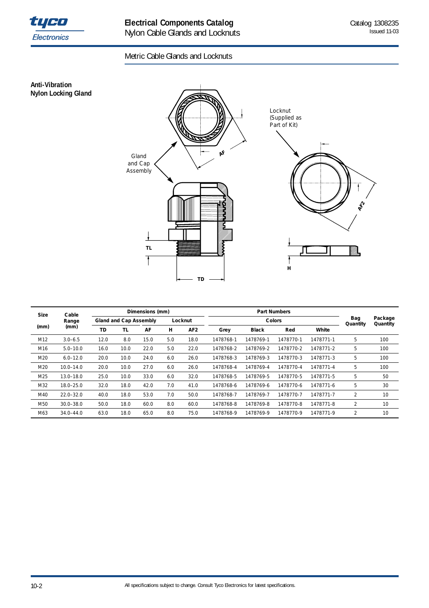

**Anti-Vibration Nylon Locking Gland**

# Metric Cable Glands and Locknuts



| <b>Size</b> | Cable         |      |      | Dimensions (mm)                          |     |                 |           | <b>Part Numbers</b> |                     |           |                |     |
|-------------|---------------|------|------|------------------------------------------|-----|-----------------|-----------|---------------------|---------------------|-----------|----------------|-----|
|             | Range         |      |      | <b>Gland and Cap Assembly</b><br>Locknut |     |                 |           | Bag<br>Quantity     | Package<br>Quantity |           |                |     |
| (mm)        | (mm)          | TD   | TL   | AF                                       | н   | AF <sub>2</sub> | Grey      | <b>Black</b>        | Red                 | White     |                |     |
| M12         | $3.0 - 6.5$   | 12.0 | 8.0  | 15.0                                     | 5.0 | 18.0            | 1478768-1 | 1478769-1           | 1478770-1           | 1478771-1 | 5              | 100 |
| M16         | $5.0 - 10.0$  | 16.0 | 10.0 | 22.0                                     | 5.0 | 22.0            | 1478768-2 | 1478769-2           | 1478770-2           | 1478771-2 | 5              | 100 |
| M20         | $6.0 - 12.0$  | 20.0 | 10.0 | 24.0                                     | 6.0 | 26.0            | 1478768-3 | 1478769-3           | 1478770-3           | 1478771-3 | 5              | 100 |
| M20         | $10.0 - 14.0$ | 20.0 | 10.0 | 27.0                                     | 6.0 | 26.0            | 1478768-4 | 1478769-4           | 1478770-4           | 1478771-4 | 5              | 100 |
| M25         | 13.0-18.0     | 25.0 | 10.0 | 33.0                                     | 6.0 | 32.0            | 1478768-5 | 1478769-5           | 1478770-5           | 1478771-5 | 5              | 50  |
| M32         | 18.0-25.0     | 32.0 | 18.0 | 42.0                                     | 7.0 | 41.0            | 1478768-6 | 1478769-6           | 1478770-6           | 1478771-6 | 5              | 30  |
| M40         | $22.0 - 32.0$ | 40.0 | 18.0 | 53.0                                     | 7.0 | 50.0            | 1478768-7 | 1478769-7           | 1478770-7           | 1478771-7 | $\overline{2}$ | 10  |
| M50         | $30.0 - 38.0$ | 50.0 | 18.0 | 60.0                                     | 8.0 | 60.0            | 1478768-8 | 1478769-8           | 1478770-8           | 1478771-8 | 2              | 10  |
| M63         | $34.0 - 44.0$ | 63.0 | 18.0 | 65.0                                     | 8.0 | 75.0            | 1478768-9 | 1478769-9           | 1478770-9           | 1478771-9 | 2              | 10  |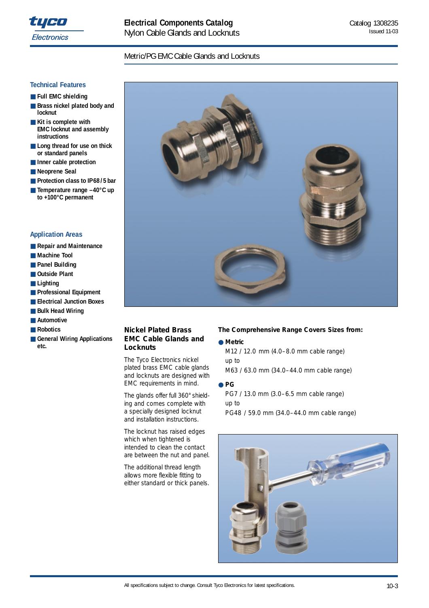

### Metric/PG EMC Cable Glands and Locknuts

#### **Technical Features**

- **Full EMC shielding**
- **Brass nickel plated body and locknut**
- **Kit is complete with EMC locknut and assembly instructions**
- Long thread for use on thick **or standard panels**
- **Inner cable protection**
- **Neoprene Seal**
- **Protection class to IP68/5 bar**
- **Temperature range –40°C up to +100°C permanent**

### **Application Areas**

- **Repair and Maintenance**
- Machine Tool
- **Panel Building**
- **Outside Plant**
- **Lighting**
- **Professional Equipment**
- **Electrical Junction Boxes**
- **Bulk Head Wiring**
- **Automotive**
- **Robotics**
- General Wiring Applications **etc.**



### **Nickel Plated Brass EMC Cable Glands and Locknuts**

The Tyco Electronics nickel plated brass EMC cable glands and locknuts are designed with EMC requirements in mind.

The glands offer full 360° shielding and comes complete with a specially designed locknut and installation instructions.

The locknut has raised edges which when tightened is intended to clean the contact are between the nut and panel.

The additional thread length allows more flexible fitting to either standard or thick panels.

#### **The Comprehensive Range Covers Sizes from:**

● **Metric**  M12 / 12.0 mm (4.0–8.0 mm cable range) up to M63 / 63.0 mm (34.0–44.0 mm cable range)

#### ● **PG**

PG7 / 13.0 mm (3.0–6.5 mm cable range) up to PG48 / 59.0 mm (34.0–44.0 mm cable range)

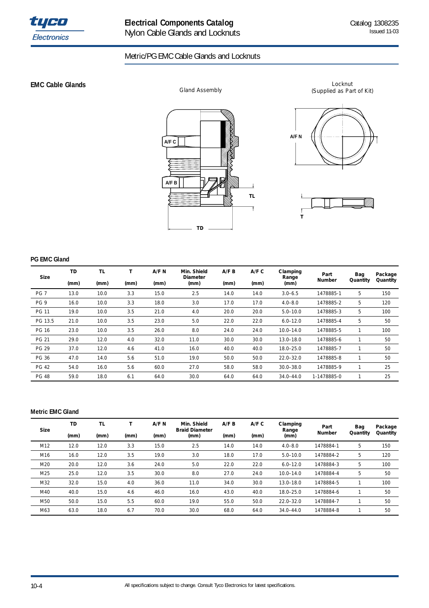

## Metric/PG EMC Cable Glands and Locknuts

**EMC Cable Glands** 



Locknut Gland Assembly **Gland Assembly** (Supplied as Part of Kit)



**T**

### **PG EMC Gland**

| <b>Size</b>     | <b>TD</b> | <b>TL</b> |      | A/F N | Min. Shield<br>Diameter | A/F B | A/F C | Clamping<br>Range | Part        | Bag      | Package  |
|-----------------|-----------|-----------|------|-------|-------------------------|-------|-------|-------------------|-------------|----------|----------|
|                 | (mm)      | (mm)      | (mm) | (mm)  | (mm)                    | (mm)  | (mm)  | (mm)              | Number      | Quantity | Quantity |
| PG <sub>7</sub> | 13.0      | 10.0      | 3.3  | 15.0  | 2.5                     | 14.0  | 14.0  | $3.0 - 6.5$       | 1478885-1   | 5        | 150      |
| PG 9            | 16.0      | 10.0      | 3.3  | 18.0  | 3.0                     | 17.0  | 17.0  | $4.0 - 8.0$       | 1478885-2   | 5        | 120      |
| <b>PG 11</b>    | 19.0      | 10.0      | 3.5  | 21.0  | 4.0                     | 20.0  | 20.0  | $5.0 - 10.0$      | 1478885-3   | 5        | 100      |
| PG 13.5         | 21.0      | 10.0      | 3.5  | 23.0  | 5.0                     | 22.0  | 22.0  | $6.0 - 12.0$      | 1478885-4   | 5        | 50       |
| <b>PG 16</b>    | 23.0      | 10.0      | 3.5  | 26.0  | 8.0                     | 24.0  | 24.0  | $10.0 - 14.0$     | 1478885-5   |          | 100      |
| <b>PG 21</b>    | 29.0      | 12.0      | 4.0  | 32.0  | 11.0                    | 30.0  | 30.0  | $13.0 - 18.0$     | 1478885-6   |          | 50       |
| <b>PG 29</b>    | 37.0      | 12.0      | 4.6  | 41.0  | 16.0                    | 40.0  | 40.0  | $18.0 - 25.0$     | 1478885-7   |          | 50       |
| PG 36           | 47.0      | 14.0      | 5.6  | 51.0  | 19.0                    | 50.0  | 50.0  | $22.0 - 32.0$     | 1478885-8   |          | 50       |
| <b>PG 42</b>    | 54.0      | 16.0      | 5.6  | 60.0  | 27.0                    | 58.0  | 58.0  | $30.0 - 38.0$     | 1478885-9   |          | 25       |
| <b>PG 48</b>    | 59.0      | 18.0      | 6.1  | 64.0  | 30.0                    | 64.0  | 64.0  | $34.0 - 44.0$     | 1-1478885-0 |          | 25       |

#### **Metric EMC Gland**

| <b>Size</b> | TD   | <b>TL</b> |      | A/F N | Min. Shield<br><b>Braid Diameter</b> | A/F B | A/F C | Clamping<br>Range | Part          | Bag      | Package  |
|-------------|------|-----------|------|-------|--------------------------------------|-------|-------|-------------------|---------------|----------|----------|
|             | (mm) | (mm)      | (mm) | (mm)  | (mm)                                 | (mm)  | (mm)  | (mm)              | <b>Number</b> | Quantity | Quantity |
| M12         | 12.0 | 12.0      | 3.3  | 15.0  | 2.5                                  | 14.0  | 14.0  | $4.0 - 8.0$       | 1478884-1     | 5        | 150      |
| M16         | 16.0 | 12.0      | 3.5  | 19.0  | 3.0                                  | 18.0  | 17.0  | $5.0 - 10.0$      | 1478884-2     | 5        | 120      |
| M20         | 20.0 | 12.0      | 3.6  | 24.0  | 5.0                                  | 22.0  | 22.0  | $6.0 - 12.0$      | 1478884-3     | 5        | 100      |
| M25         | 25.0 | 12.0      | 3.5  | 30.0  | 8.0                                  | 27.0  | 24.0  | $10.0 - 14.0$     | 1478884-4     | 5        | 50       |
| M32         | 32.0 | 15.0      | 4.0  | 36.0  | 11.0                                 | 34.0  | 30.0  | 13.0-18.0         | 1478884-5     |          | 100      |
| M40         | 40.0 | 15.0      | 4.6  | 46.0  | 16.0                                 | 43.0  | 40.0  | 18.0-25.0         | 1478884-6     |          | 50       |
| M50         | 50.0 | 15.0      | 5.5  | 60.0  | 19.0                                 | 55.0  | 50.0  | $22.0 - 32.0$     | 1478884-7     |          | 50       |
| M63         | 63.0 | 18.0      | 6.7  | 70.0  | 30.0                                 | 68.0  | 64.0  | $34.0 - 44.0$     | 1478884-8     |          | 50       |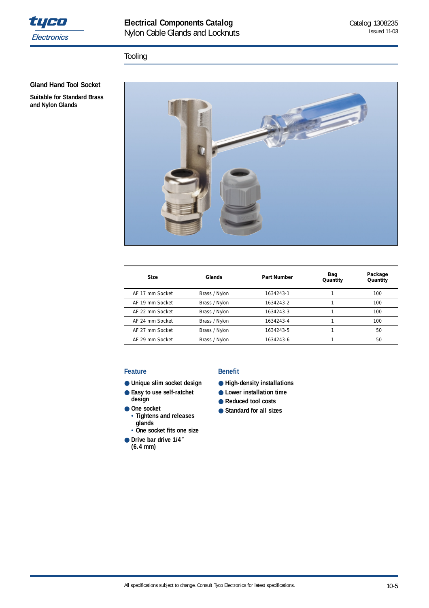

# **Electrical Components Catalog**  Nylon Cable Glands and Locknuts

## Tooling

**Gland Hand Tool Socket** 

**Suitable for Standard Brass and Nylon Glands**



| <b>Size</b>     | Glands        | <b>Part Number</b> | Bag<br>Quantity | Package<br>Quantity |
|-----------------|---------------|--------------------|-----------------|---------------------|
| AF 17 mm Socket | Brass / Nylon | 1634243-1          |                 | 100                 |
| AF 19 mm Socket | Brass / Nylon | 1634243-2          |                 | 100                 |
| AF 22 mm Socket | Brass / Nylon | 1634243-3          |                 | 100                 |
| AF 24 mm Socket | Brass / Nylon | 1634243-4          |                 | 100                 |
| AF 27 mm Socket | Brass / Nylon | 1634243-5          |                 | 50                  |
| AF 29 mm Socket | Brass / Nylon | 1634243-6          |                 | 50                  |

#### **Feature**

- **Unique slim socket design**
- **Easy to use self-ratchet design**
- One socket
	- **• Tightens and releases • glands**
- **• One socket fits one size**
- **Drive bar drive 1/4" (6.4 mm)**

### **Benefit**

- **High-density installations**
- **Lower installation time**
- **Reduced tool costs**
- **Standard for all sizes**